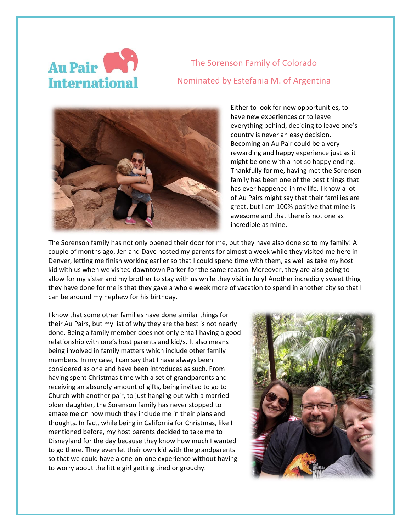## Au Pair **International**

The Sorenson Family of Colorado Nominated by Estefania M. of Argentina



Either to look for new opportunities, to have new experiences or to leave everything behind, deciding to leave one's country is never an easy decision. Becoming an Au Pair could be a very rewarding and happy experience just as it might be one with a not so happy ending. Thankfully for me, having met the Sorensen family has been one of the best things that has ever happened in my life. I know a lot of Au Pairs might say that their families are great, but I am 100% positive that mine is awesome and that there is not one as incredible as mine.

The Sorenson family has not only opened their door for me, but they have also done so to my family! A couple of months ago, Jen and Dave hosted my parents for almost a week while they visited me here in Denver, letting me finish working earlier so that I could spend time with them, as well as take my host kid with us when we visited downtown Parker for the same reason. Moreover, they are also going to allow for my sister and my brother to stay with us while they visit in July! Another incredibly sweet thing they have done for me is that they gave a whole week more of vacation to spend in another city so that I can be around my nephew for his birthday.

I know that some other families have done similar things for their Au Pairs, but my list of why they are the best is not nearly done. Being a family member does not only entail having a good relationship with one's host parents and kid/s. It also means being involved in family matters which include other family members. In my case, I can say that I have always been considered as one and have been introduces as such. From having spent Christmas time with a set of grandparents and receiving an absurdly amount of gifts, being invited to go to Church with another pair, to just hanging out with a married older daughter, the Sorenson family has never stopped to amaze me on how much they include me in their plans and thoughts. In fact, while being in California for Christmas, like I mentioned before, my host parents decided to take me to Disneyland for the day because they know how much I wanted to go there. They even let their own kid with the grandparents so that we could have a one-on-one experience without having to worry about the little girl getting tired or grouchy.